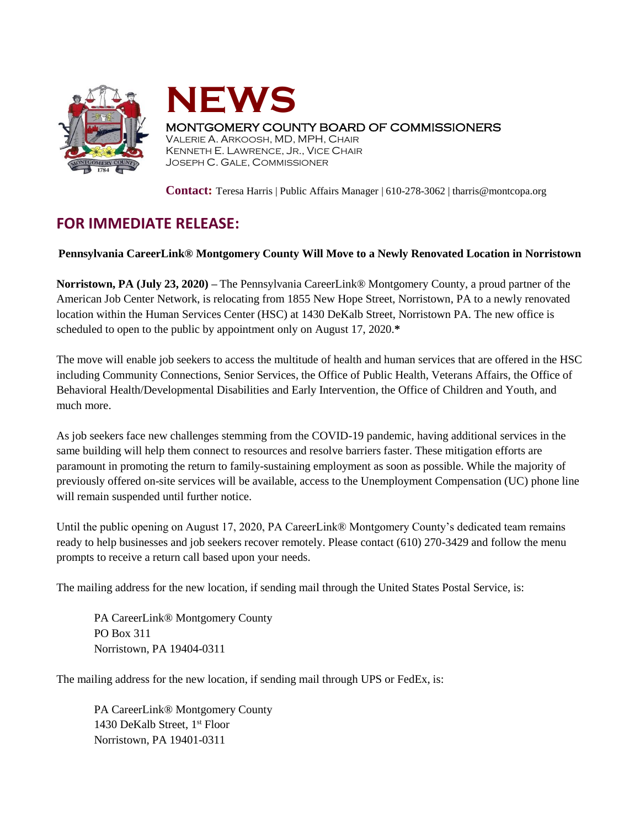



## MONTGOMERY COUNTY BOARD OF COMMISSIONERS

VALERIE A. ARKOOSH, MD, MPH, CHAIR KENNETH E. LAWRENCE, JR., VICE CHAIR JOSEPH C. GALE, COMMISSIONER

**Contact:** Teresa Harris | Public Affairs Manager | 610-278-3062 | tharris@montcopa.org

## **FOR IMMEDIATE RELEASE:**

## **Pennsylvania CareerLink® Montgomery County Will Move to a Newly Renovated Location in Norristown**

**Norristown, PA (July 23, 2020) –** The Pennsylvania CareerLink® Montgomery County, a proud partner of the American Job Center Network, is relocating from 1855 New Hope Street, Norristown, PA to a newly renovated location within the Human Services Center (HSC) at 1430 DeKalb Street, Norristown PA. The new office is scheduled to open to the public by appointment only on August 17, 2020.**\***

The move will enable job seekers to access the multitude of health and human services that are offered in the HSC including Community Connections, Senior Services, the Office of Public Health, Veterans Affairs, the Office of Behavioral Health/Developmental Disabilities and Early Intervention, the Office of Children and Youth, and much more.

As job seekers face new challenges stemming from the COVID-19 pandemic, having additional services in the same building will help them connect to resources and resolve barriers faster. These mitigation efforts are paramount in promoting the return to family-sustaining employment as soon as possible. While the majority of previously offered on-site services will be available, access to the Unemployment Compensation (UC) phone line will remain suspended until further notice.

Until the public opening on August 17, 2020, PA CareerLink® Montgomery County's dedicated team remains ready to help businesses and job seekers recover remotely. Please contact (610) 270-3429 and follow the menu prompts to receive a return call based upon your needs.

The mailing address for the new location, if sending mail through the United States Postal Service, is:

PA CareerLink® Montgomery County PO Box 311 Norristown, PA 19404-0311

The mailing address for the new location, if sending mail through UPS or FedEx, is:

PA CareerLink® Montgomery County 1430 DeKalb Street, 1<sup>st</sup> Floor Norristown, PA 19401-0311